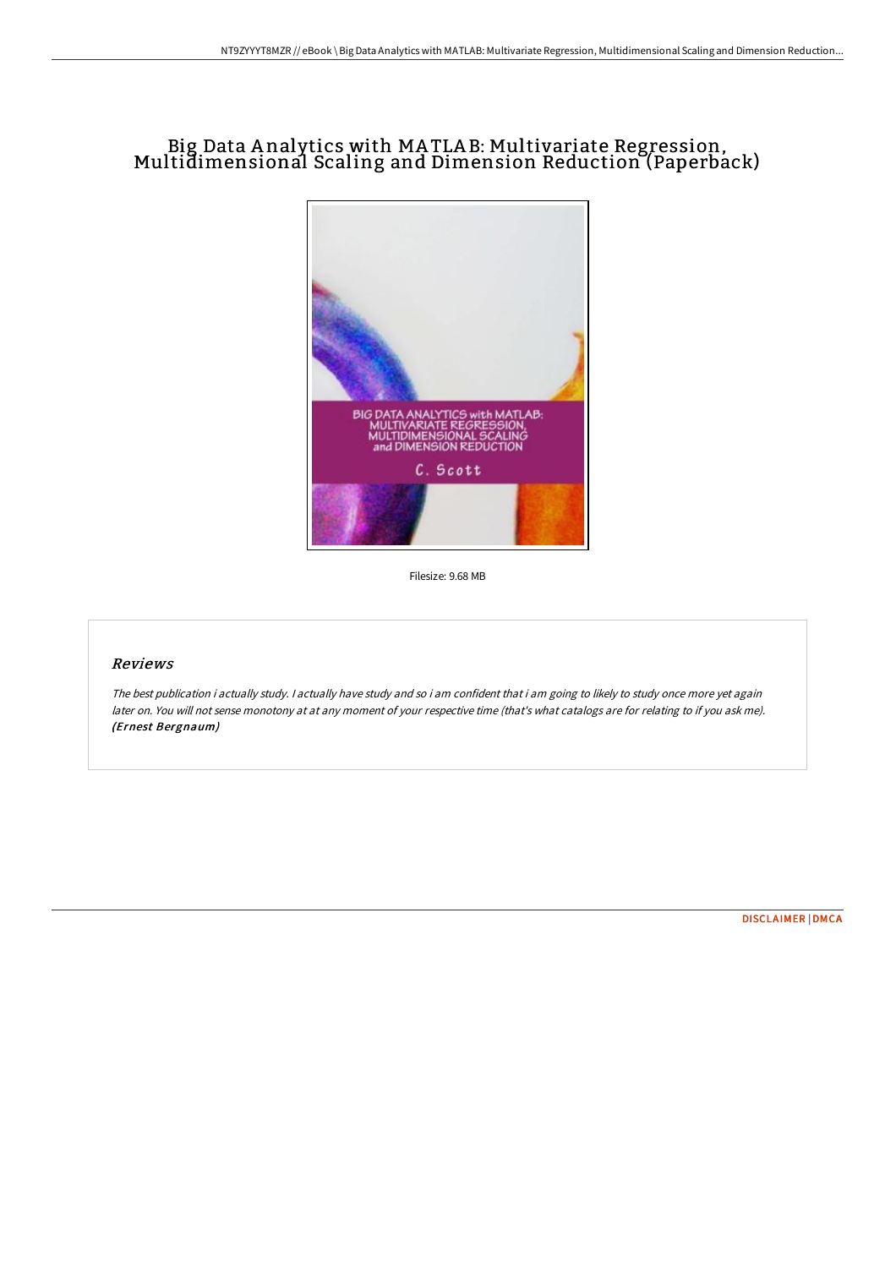## Big Data <sup>A</sup> nalytics with MA TLA B: Multivariate Regression, Multidimensional Scaling and Dimension Reduction (Paperback)



Filesize: 9.68 MB

## Reviews

The best publication i actually study. <sup>I</sup> actually have study and so i am confident that i am going to likely to study once more yet again later on. You will not sense monotony at at any moment of your respective time (that's what catalogs are for relating to if you ask me). (Ernest Bergnaum)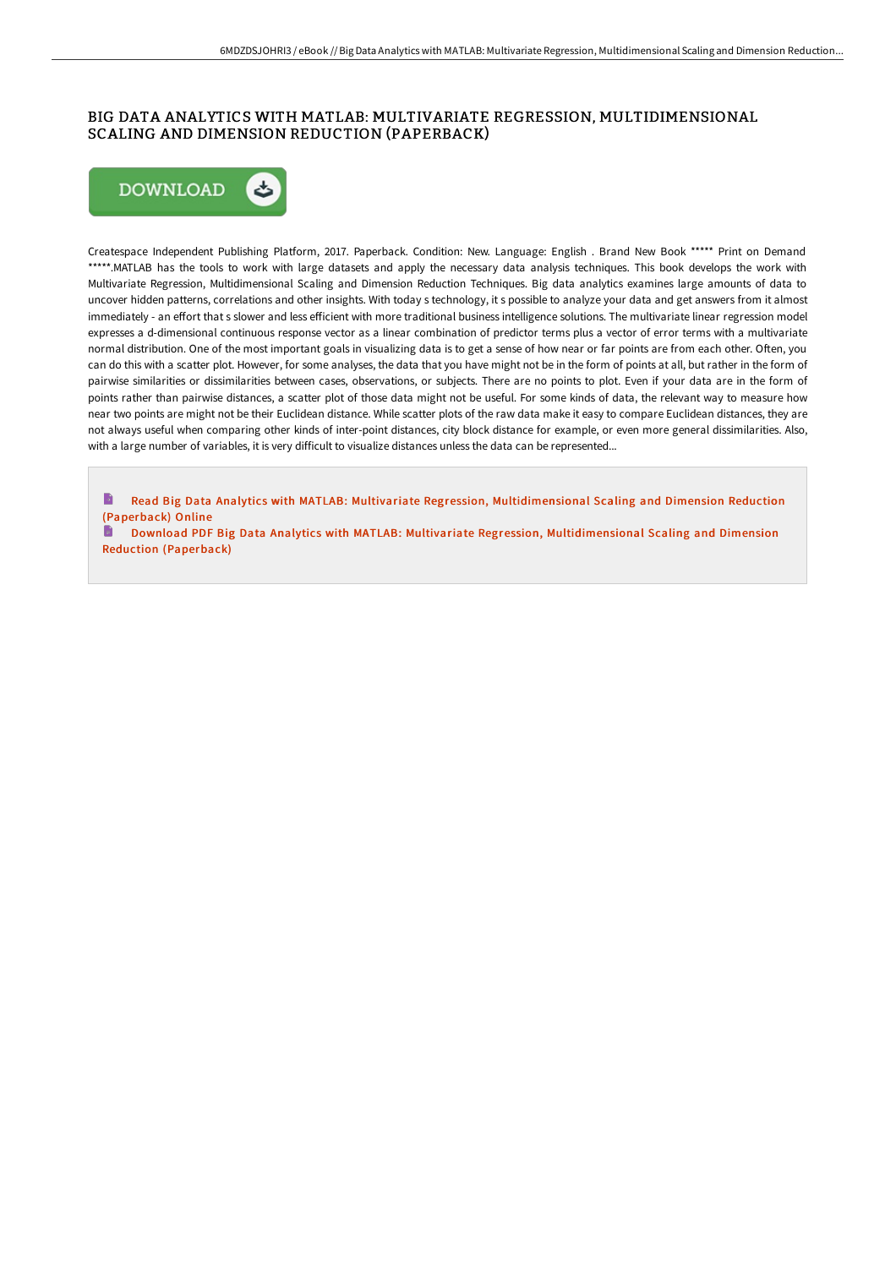## BIG DATA ANALYTICS WITH MATLAB: MULTIVARIATE REGRESSION, MULTIDIMENSIONAL SCALING AND DIMENSION REDUCTION (PAPERBACK)



Createspace Independent Publishing Platform, 2017. Paperback. Condition: New. Language: English . Brand New Book \*\*\*\*\* Print on Demand \*\*\*\*\*.MATLAB has the tools to work with large datasets and apply the necessary data analysis techniques. This book develops the work with Multivariate Regression, Multidimensional Scaling and Dimension Reduction Techniques. Big data analytics examines large amounts of data to uncover hidden patterns, correlations and other insights. With today s technology, it s possible to analyze your data and get answers from it almost immediately - an effort that s slower and less efficient with more traditional business intelligence solutions. The multivariate linear regression model expresses a d-dimensional continuous response vector as a linear combination of predictor terms plus a vector of error terms with a multivariate normal distribution. One of the most important goals in visualizing data is to get a sense of how near or far points are from each other. Often, you can do this with a scatter plot. However, for some analyses, the data that you have might not be in the form of points at all, but rather in the form of pairwise similarities or dissimilarities between cases, observations, or subjects. There are no points to plot. Even if your data are in the form of points rather than pairwise distances, a scatter plot of those data might not be useful. For some kinds of data, the relevant way to measure how near two points are might not be their Euclidean distance. While scatter plots of the raw data make it easy to compare Euclidean distances, they are not always useful when comparing other kinds of inter-point distances, city block distance for example, or even more general dissimilarities. Also, with a large number of variables, it is very difficult to visualize distances unless the data can be represented...

B Read Big Data Analytics with MATLAB: Multivariate Regression, [Multidimensional](http://techno-pub.tech/big-data-analytics-with-matlab-multivariate-regr.html) Scaling and Dimension Reduction (Paperback) Online

Download PDF Big Data Analytics with MATLAB: Multivariate Regression, [Multidimensional](http://techno-pub.tech/big-data-analytics-with-matlab-multivariate-regr.html) Scaling and Dimension Reduction (Paperback)